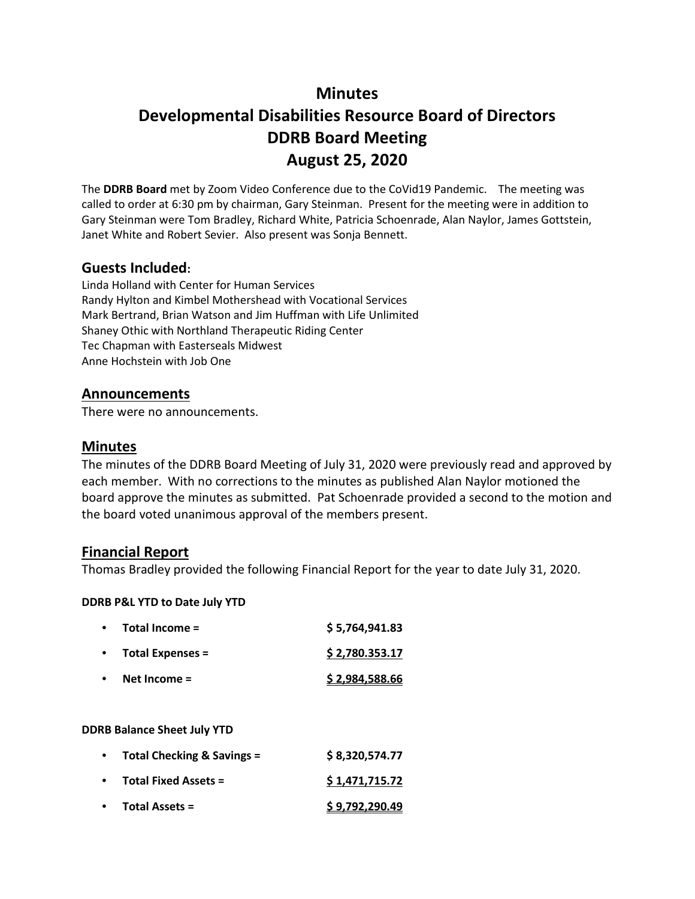# **Minutes**

# **Developmental Disabilities Resource Board of Directors DDRB Board Meeting August 25, 2020**

The **DDRB Board** met by Zoom Video Conference due to the CoVid19 Pandemic. The meeting was called to order at 6:30 pm by chairman, Gary Steinman. Present for the meeting were in addition to Gary Steinman were Tom Bradley, Richard White, Patricia Schoenrade, Alan Naylor, James Gottstein, Janet White and Robert Sevier. Also present was Sonja Bennett.

### **Guests Included:**

Linda Holland with Center for Human Services Randy Hylton and Kimbel Mothershead with Vocational Services Mark Bertrand, Brian Watson and Jim Huffman with Life Unlimited Shaney Othic with Northland Therapeutic Riding Center Tec Chapman with Easterseals Midwest Anne Hochstein with Job One

#### **Announcements**

There were no announcements.

#### **Minutes**

The minutes of the DDRB Board Meeting of July 31, 2020 were previously read and approved by each member. With no corrections to the minutes as published Alan Naylor motioned the board approve the minutes as submitted. Pat Schoenrade provided a second to the motion and the board voted unanimous approval of the members present.

#### **Financial Report**

Thomas Bradley provided the following Financial Report for the year to date July 31, 2020.

#### **DDRB P&L YTD to Date July YTD**

| $\bullet$ | Total Income =          | \$5,764,941.83        |
|-----------|-------------------------|-----------------------|
|           | <b>Total Expenses =</b> | \$2,780.353.17        |
|           | Net Income $=$          | <u>\$2,984,588.66</u> |

#### **DDRB Balance Sheet July YTD**

| $\bullet$ | Total Checking & Savings = | \$8,320,574.77        |
|-----------|----------------------------|-----------------------|
|           | • Total Fixed Assets =     | \$1,471,715.72        |
|           | • Total Assets =           | <u>\$9,792,290.49</u> |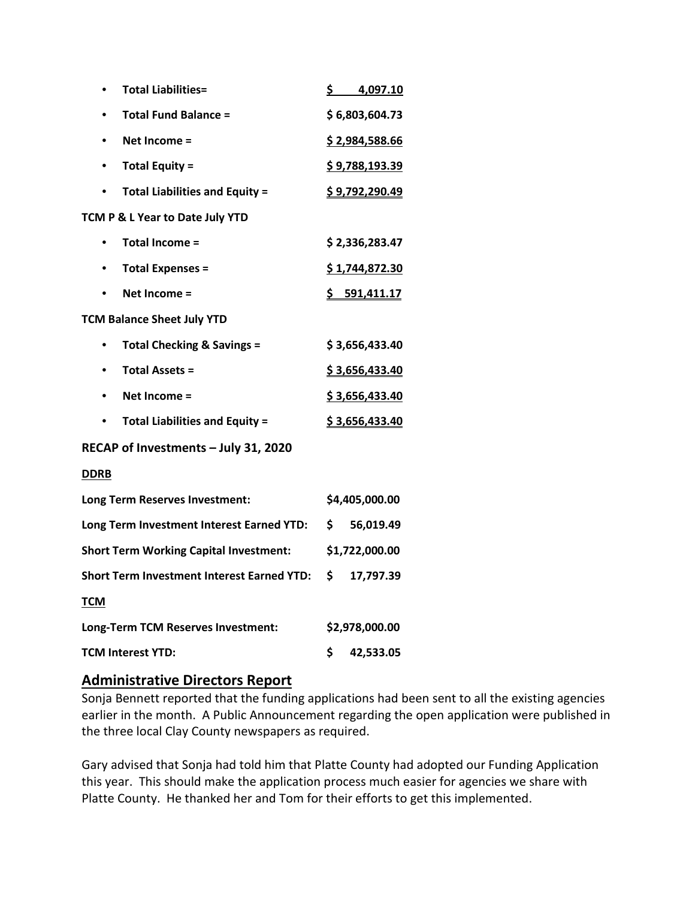| <b>Total Liabilities=</b><br>$\bullet$             | \$4,097.10            |  |  |  |
|----------------------------------------------------|-----------------------|--|--|--|
| <b>Total Fund Balance =</b>                        | \$6,803,604.73        |  |  |  |
| Net Income =                                       | \$2,984,588.66        |  |  |  |
| <b>Total Equity =</b><br>$\bullet$                 | <u>\$9,788,193.39</u> |  |  |  |
| <b>Total Liabilities and Equity =</b><br>$\bullet$ | \$9,792,290.49        |  |  |  |
| TCM P & L Year to Date July YTD                    |                       |  |  |  |
| <b>Total Income =</b><br>$\bullet$                 | \$2,336,283.47        |  |  |  |
| <b>Total Expenses =</b><br>٠                       | \$1,744,872.30        |  |  |  |
| Net Income =                                       | \$591,411.17          |  |  |  |
| <b>TCM Balance Sheet July YTD</b>                  |                       |  |  |  |
| <b>Total Checking &amp; Savings =</b>              | \$3,656,433.40        |  |  |  |
| <b>Total Assets =</b><br>$\bullet$                 | \$3,656,433.40        |  |  |  |
| Net Income =                                       | \$3,656,433.40        |  |  |  |
| <b>Total Liabilities and Equity =</b><br>$\bullet$ | \$3,656,433.40        |  |  |  |
| RECAP of Investments - July 31, 2020               |                       |  |  |  |
| <b>DDRB</b>                                        |                       |  |  |  |
| Long Term Reserves Investment:                     | \$4,405,000.00        |  |  |  |
| Long Term Investment Interest Earned YTD:          | \$<br>56,019.49       |  |  |  |
| <b>Short Term Working Capital Investment:</b>      | \$1,722,000.00        |  |  |  |
| <b>Short Term Investment Interest Earned YTD:</b>  | \$<br>17,797.39       |  |  |  |
| <b>TCM</b>                                         |                       |  |  |  |
| Long-Term TCM Reserves Investment:                 | \$2,978,000.00        |  |  |  |
| <b>TCM Interest YTD:</b>                           | \$<br>42,533.05       |  |  |  |

### **Administrative Directors Report**

Sonja Bennett reported that the funding applications had been sent to all the existing agencies earlier in the month. A Public Announcement regarding the open application were published in the three local Clay County newspapers as required.

Gary advised that Sonja had told him that Platte County had adopted our Funding Application this year. This should make the application process much easier for agencies we share with Platte County. He thanked her and Tom for their efforts to get this implemented.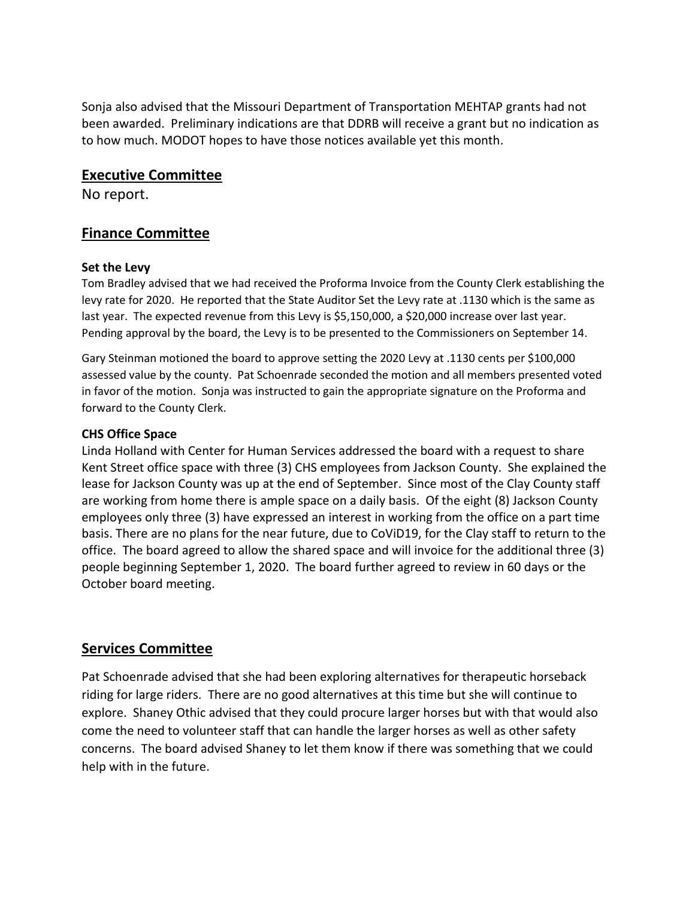Sonja also advised that the Missouri Department of Transportation MEHTAP grants had not been awarded. Preliminary indications are that DDRB will receive a grant but no indication as to how much. MODOT hopes to have those notices available yet this month.

#### **Executive Committee**

No report.

# **Finance Committee**

#### **Set the Levy**

Tom Bradley advised that we had received the Proforma Invoice from the County Clerk establishing the levy rate for 2020. He reported that the State Auditor Set the Levy rate at .1130 which is the same as last year. The expected revenue from this Levy is \$5,150,000, a \$20,000 increase over last year. Pending approval by the board, the Levy is to be presented to the Commissioners on September 14.

Gary Steinman motioned the board to approve setting the 2020 Levy at .1130 cents per \$100,000 assessed value by the county. Pat Schoenrade seconded the motion and all members presented voted in favor of the motion. Sonja was instructed to gain the appropriate signature on the Proforma and forward to the County Clerk.

#### **CHS Office Space**

Linda Holland with Center for Human Services addressed the board with a request to share Kent Street office space with three (3) CHS employees from Jackson County. She explained the lease for Jackson County was up at the end of September. Since most of the Clay County staff are working from home there is ample space on a daily basis. Of the eight (8) Jackson County employees only three (3) have expressed an interest in working from the office on a part time basis. There are no plans for the near future, due to CoViD19, for the Clay staff to return to the office. The board agreed to allow the shared space and will invoice for the additional three (3) people beginning September 1, 2020. The board further agreed to review in 60 days or the October board meeting.

### **Services Committee**

Pat Schoenrade advised that she had been exploring alternatives for therapeutic horseback riding for large riders. There are no good alternatives at this time but she will continue to explore. Shaney Othic advised that they could procure larger horses but with that would also come the need to volunteer staff that can handle the larger horses as well as other safety concerns. The board advised Shaney to let them know if there was something that we could help with in the future.